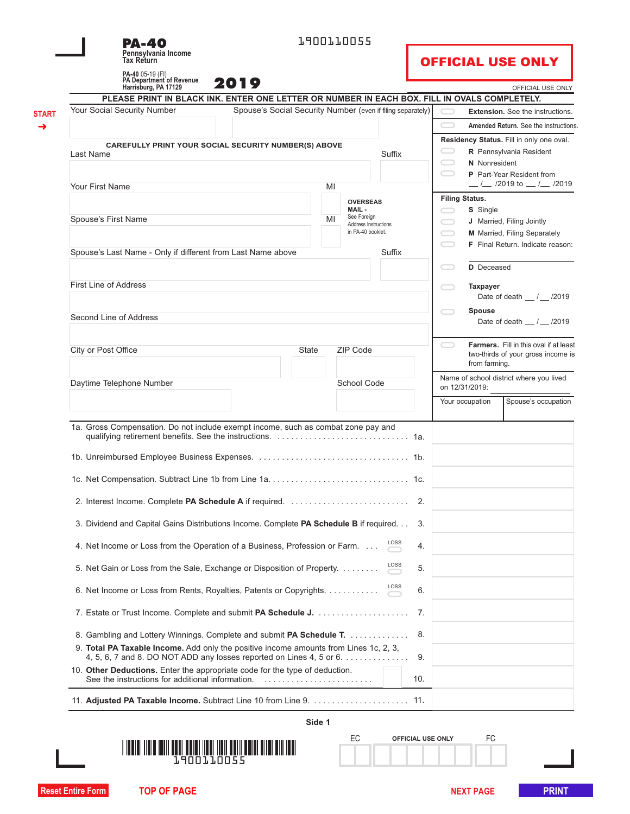| PA-40<br>Pennsylvania Income                                                                                                                                                                                                          | 1900110055                                                         |                                |                                                                                                                                                                                           |               |                                                                                                  |
|---------------------------------------------------------------------------------------------------------------------------------------------------------------------------------------------------------------------------------------|--------------------------------------------------------------------|--------------------------------|-------------------------------------------------------------------------------------------------------------------------------------------------------------------------------------------|---------------|--------------------------------------------------------------------------------------------------|
| <b>Tax Return</b>                                                                                                                                                                                                                     |                                                                    |                                |                                                                                                                                                                                           |               | <b>OFFICIAL USE ONLY</b>                                                                         |
| PA-40 05-19 (FI)<br>PA Department of Revenue<br>2019<br>Harrisburg, PA 17129                                                                                                                                                          |                                                                    |                                |                                                                                                                                                                                           |               | OFFICIAL USE ONLY                                                                                |
| PLEASE PRINT IN BLACK INK. ENTER ONE LETTER OR NUMBER IN EACH BOX. FILL IN OVALS COMPLETELY.                                                                                                                                          |                                                                    |                                |                                                                                                                                                                                           |               |                                                                                                  |
| Your Social Security Number                                                                                                                                                                                                           | Spouse's Social Security Number (even if filing separately)        |                                |                                                                                                                                                                                           |               | <b>Extension.</b> See the instructions.                                                          |
|                                                                                                                                                                                                                                       |                                                                    |                                |                                                                                                                                                                                           |               | <b>Amended Return.</b> See the instructions                                                      |
| <b>CAREFULLY PRINT YOUR SOCIAL SECURITY NUMBER(S) ABOVE</b><br>Last Name                                                                                                                                                              |                                                                    | Suffix                         |                                                                                                                                                                                           | N Nonresident | Residency Status. Fill in only one oval.<br>R Pennsylvania Resident<br>P Part-Year Resident from |
| Your First Name                                                                                                                                                                                                                       | MI                                                                 |                                |                                                                                                                                                                                           |               |                                                                                                  |
| Spouse's First Name<br>Spouse's Last Name - Only if different from Last Name above                                                                                                                                                    | <b>OVERSEAS</b><br>MAIL-<br>See Foreign<br>MI<br>in PA-40 booklet. | Address Instructions<br>Suffix | <b>Filing Status.</b><br>S Single<br>$\hspace{.1in} \square$<br>J Married, Filing Jointly<br>M Married, Filing Separately<br>$\hspace{1.5cm} \square$<br>F Final Return, Indicate reason: |               |                                                                                                  |
|                                                                                                                                                                                                                                       |                                                                    |                                |                                                                                                                                                                                           |               |                                                                                                  |
| <b>First Line of Address</b>                                                                                                                                                                                                          |                                                                    | D Deceased<br><b>Taxpayer</b>  | Date of death __ / __ /2019                                                                                                                                                               |               |                                                                                                  |
| Second Line of Address                                                                                                                                                                                                                |                                                                    |                                |                                                                                                                                                                                           | Spouse        | Date of death __ / __ /2019                                                                      |
| City or Post Office                                                                                                                                                                                                                   | ZIP Code<br>State                                                  |                                |                                                                                                                                                                                           | from farming. | <b>Farmers.</b> Fill in this oval if at least<br>two-thirds of your gross income is              |
| Daytime Telephone Number                                                                                                                                                                                                              | School Code                                                        |                                | on 12/31/2019:                                                                                                                                                                            |               | Name of school district where you lived                                                          |
|                                                                                                                                                                                                                                       |                                                                    |                                | Your occupation                                                                                                                                                                           |               | Spouse's occupation                                                                              |
| 1a. Gross Compensation. Do not include exempt income, such as combat zone pay and                                                                                                                                                     |                                                                    |                                |                                                                                                                                                                                           |               |                                                                                                  |
|                                                                                                                                                                                                                                       |                                                                    |                                |                                                                                                                                                                                           |               |                                                                                                  |
|                                                                                                                                                                                                                                       |                                                                    |                                |                                                                                                                                                                                           |               |                                                                                                  |
| 2. Interest Income. Complete PA Schedule A if required.                                                                                                                                                                               |                                                                    | 2.                             |                                                                                                                                                                                           |               |                                                                                                  |
| 3. Dividend and Capital Gains Distributions Income. Complete PA Schedule B if required.                                                                                                                                               |                                                                    | 3.                             |                                                                                                                                                                                           |               |                                                                                                  |
| 4. Net Income or Loss from the Operation of a Business, Profession or Farm.                                                                                                                                                           |                                                                    | LOSS<br>4.                     |                                                                                                                                                                                           |               |                                                                                                  |
| 5. Net Gain or Loss from the Sale, Exchange or Disposition of Property.                                                                                                                                                               |                                                                    | LOSS<br>5.                     |                                                                                                                                                                                           |               |                                                                                                  |
| 6. Net Income or Loss from Rents, Royalties, Patents or Copyrights.                                                                                                                                                                   |                                                                    | LOSS<br>6.                     |                                                                                                                                                                                           |               |                                                                                                  |
|                                                                                                                                                                                                                                       |                                                                    | 7.                             |                                                                                                                                                                                           |               |                                                                                                  |
| 8. Gambling and Lottery Winnings. Complete and submit PA Schedule T.<br>9. Total PA Taxable Income. Add only the positive income amounts from Lines 1c, 2, 3,<br>4, 5, 6, 7 and 8. DO NOT ADD any losses reported on Lines 4, 5 or 6. |                                                                    | 8.<br>9.                       |                                                                                                                                                                                           |               |                                                                                                  |
| 10. Other Deductions. Enter the appropriate code for the type of deduction.                                                                                                                                                           |                                                                    | 10.                            |                                                                                                                                                                                           |               |                                                                                                  |
|                                                                                                                                                                                                                                       |                                                                    |                                |                                                                                                                                                                                           |               |                                                                                                  |
|                                                                                                                                                                                                                                       | Side 1                                                             |                                |                                                                                                                                                                                           |               |                                                                                                  |
|                                                                                                                                                                                                                                       |                                                                    |                                |                                                                                                                                                                                           |               |                                                                                                  |



| FC. | <b>OFFICIAL USE ONLY</b> |  |
|-----|--------------------------|--|
|     |                          |  |